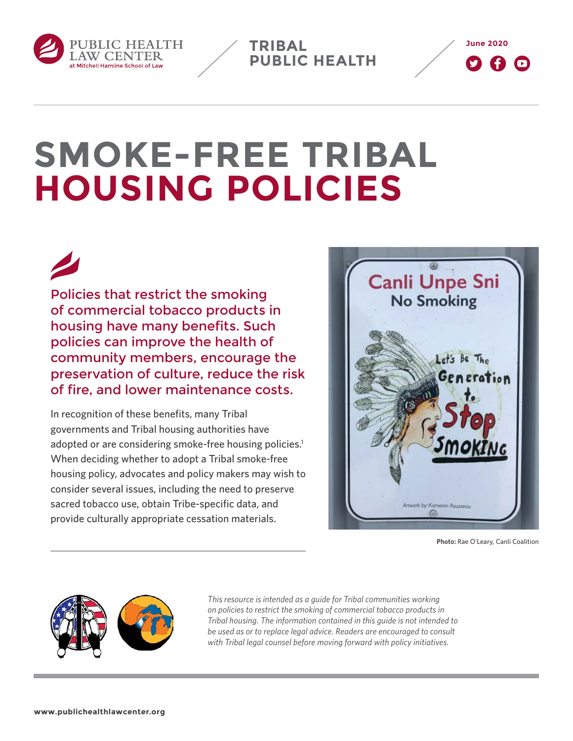

**TRIBAL PUBLIC HEALTH**



# **SMOKE-FREE TRIBAL HOUSING POLICIES**

Policies that restrict the smoking of commercial tobacco products in housing have many benefits. Such policies can improve the health of community members, encourage the preservation of culture, reduce the risk of fire, and lower maintenance costs.

In recognition of these benefits, many Tribal governments and Tribal housing authorities have adopted or are considering smoke-free housing policies.<sup>1</sup> When deciding whether to adopt a Tribal smoke-free housing policy, advocates and policy makers may wish to consider several issues, including the need to preserve sacred tobacco use, obtain Tribe-specific data, and provide culturally appropriate cessation materials.



**Photo:** Rae O'Leary, Canli Coalition



*This resource is intended as a guide for Tribal communities working on policies to restrict the smoking of commercial tobacco products in Tribal housing. The information contained in this guide is not intended to be used as or to replace legal advice. Readers are encouraged to consult with Tribal legal counsel before moving forward with policy initiatives.*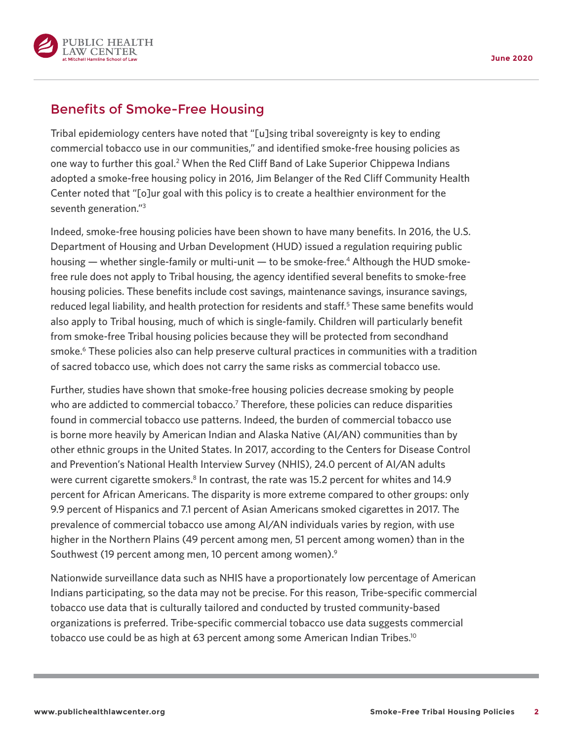

## Benefits of Smoke-Free Housing

Tribal epidemiology centers have noted that "[u]sing tribal sovereignty is key to ending commercial tobacco use in our communities," and identified smoke-free housing policies as one way to further this goal.<sup>2</sup> When the Red Cliff Band of Lake Superior Chippewa Indians adopted a smoke-free housing policy in 2016, Jim Belanger of the Red Cliff Community Health Center noted that "[o]ur goal with this policy is to create a healthier environment for the seventh generation."3

Indeed, smoke-free housing policies have been shown to have many benefits. In 2016, the U.S. Department of Housing and Urban Development (HUD) issued a regulation requiring public housing  $-$  whether single-family or multi-unit  $-$  to be smoke-free.<sup>4</sup> Although the HUD smokefree rule does not apply to Tribal housing, the agency identified several benefits to smoke-free housing policies. These benefits include cost savings, maintenance savings, insurance savings, reduced legal liability, and health protection for residents and staff.<sup>5</sup> These same benefits would also apply to Tribal housing, much of which is single-family. Children will particularly benefit from smoke-free Tribal housing policies because they will be protected from secondhand smoke.<sup>6</sup> These policies also can help preserve cultural practices in communities with a tradition of sacred tobacco use, which does not carry the same risks as commercial tobacco use.

Further, studies have shown that smoke-free housing policies decrease smoking by people who are addicted to commercial tobacco.<sup>7</sup> Therefore, these policies can reduce disparities found in commercial tobacco use patterns. Indeed, the burden of commercial tobacco use is borne more heavily by American Indian and Alaska Native (AI/AN) communities than by other ethnic groups in the United States. In 2017, according to the Centers for Disease Control and Prevention's National Health Interview Survey (NHIS), 24.0 percent of AI/AN adults were current cigarette smokers.<sup>8</sup> In contrast, the rate was 15.2 percent for whites and 14.9 percent for African Americans. The disparity is more extreme compared to other groups: only 9.9 percent of Hispanics and 7.1 percent of Asian Americans smoked cigarettes in 2017. The prevalence of commercial tobacco use among AI/AN individuals varies by region, with use higher in the Northern Plains (49 percent among men, 51 percent among women) than in the Southwest (19 percent among men, 10 percent among women).9

Nationwide surveillance data such as NHIS have a proportionately low percentage of American Indians participating, so the data may not be precise. For this reason, Tribe-specific commercial tobacco use data that is culturally tailored and conducted by trusted community-based organizations is preferred. Tribe-specific commercial tobacco use data suggests commercial tobacco use could be as high at 63 percent among some American Indian Tribes.<sup>10</sup>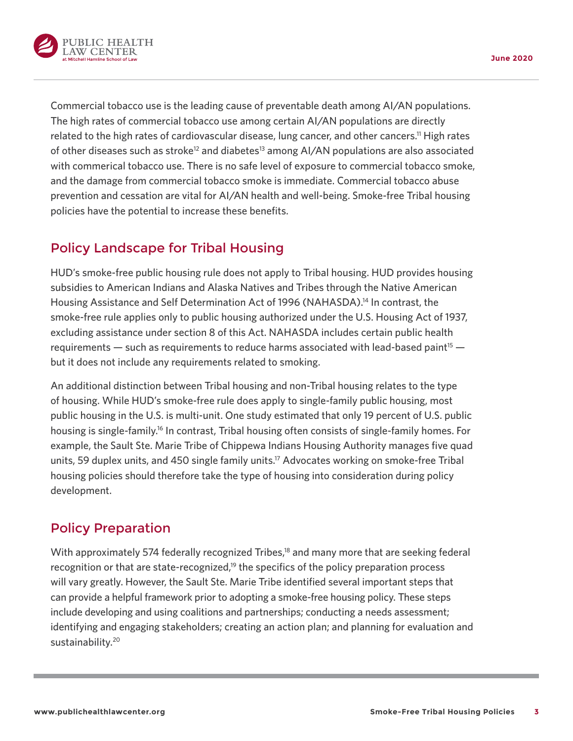



Commercial tobacco use is the leading cause of preventable death among AI/AN populations. The high rates of commercial tobacco use among certain AI/AN populations are directly related to the high rates of cardiovascular disease, lung cancer, and other cancers.11 High rates of other diseases such as stroke<sup>12</sup> and diabetes<sup>13</sup> among AI/AN populations are also associated with commerical tobacco use. There is no safe level of exposure to commercial tobacco smoke, and the damage from commercial tobacco smoke is immediate. Commercial tobacco abuse prevention and cessation are vital for AI/AN health and well-being. Smoke-free Tribal housing policies have the potential to increase these benefits.

# Policy Landscape for Tribal Housing

HUD's smoke-free public housing rule does not apply to Tribal housing. HUD provides housing subsidies to American Indians and Alaska Natives and Tribes through the Native American Housing Assistance and Self Determination Act of 1996 (NAHASDA).14 In contrast, the smoke-free rule applies only to public housing authorized under the U.S. Housing Act of 1937, excluding assistance under section 8 of this Act. NAHASDA includes certain public health requirements — such as requirements to reduce harms associated with lead-based paint<sup>15</sup> but it does not include any requirements related to smoking.

An additional distinction between Tribal housing and non-Tribal housing relates to the type of housing. While HUD's smoke-free rule does apply to single-family public housing, most public housing in the U.S. is multi-unit. One study estimated that only 19 percent of U.S. public housing is single-family.16 In contrast, Tribal housing often consists of single-family homes. For example, the Sault Ste. Marie Tribe of Chippewa Indians Housing Authority manages five quad units, 59 duplex units, and 450 single family units.<sup>17</sup> Advocates working on smoke-free Tribal housing policies should therefore take the type of housing into consideration during policy development.

## Policy Preparation

With approximately 574 federally recognized Tribes,<sup>18</sup> and many more that are seeking federal recognition or that are state-recognized,<sup>19</sup> the specifics of the policy preparation process will vary greatly. However, the Sault Ste. Marie Tribe identified several important steps that can provide a helpful framework prior to adopting a smoke-free housing policy. These steps include developing and using coalitions and partnerships; conducting a needs assessment; identifying and engaging stakeholders; creating an action plan; and planning for evaluation and sustainability.<sup>20</sup>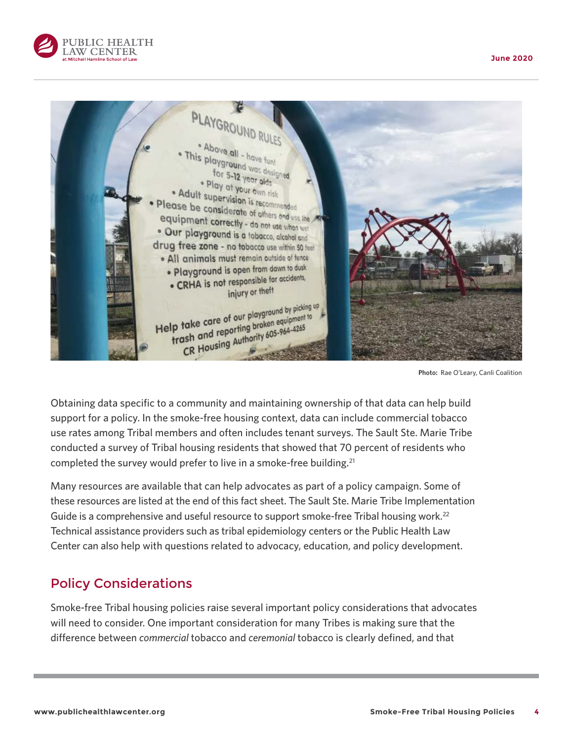



**Photo:** Rae O'Leary, Canli Coalition

Obtaining data specific to a community and maintaining ownership of that data can help build support for a policy. In the smoke-free housing context, data can include commercial tobacco use rates among Tribal members and often includes tenant surveys. The Sault Ste. Marie Tribe conducted a survey of Tribal housing residents that showed that 70 percent of residents who completed the survey would prefer to live in a smoke-free building.<sup>21</sup>

Many resources are available that can help advocates as part of a policy campaign. Some of these resources are listed at the end of this fact sheet. The Sault Ste. Marie Tribe Implementation Guide is a comprehensive and useful resource to support smoke-free Tribal housing work.<sup>22</sup> Technical assistance providers such as tribal epidemiology centers or the Public Health Law Center can also help with questions related to advocacy, education, and policy development.

## Policy Considerations

Smoke-free Tribal housing policies raise several important policy considerations that advocates will need to consider. One important consideration for many Tribes is making sure that the difference between *commercial* tobacco and *ceremonial* tobacco is clearly defined, and that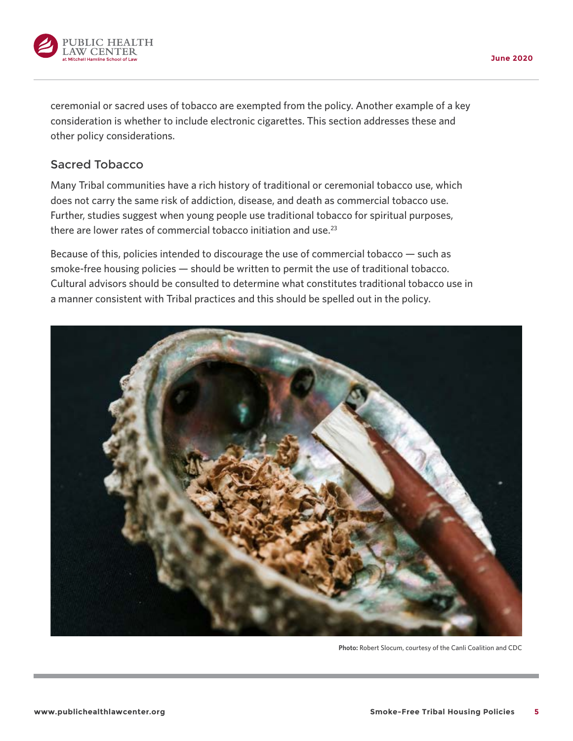

ceremonial or sacred uses of tobacco are exempted from the policy. Another example of a key consideration is whether to include electronic cigarettes. This section addresses these and other policy considerations.

## Sacred Tobacco

Many Tribal communities have a rich history of traditional or ceremonial tobacco use, which does not carry the same risk of addiction, disease, and death as commercial tobacco use. Further, studies suggest when young people use traditional tobacco for spiritual purposes, there are lower rates of commercial tobacco initiation and use.<sup>23</sup>

Because of this, policies intended to discourage the use of commercial tobacco — such as smoke-free housing policies — should be written to permit the use of traditional tobacco. Cultural advisors should be consulted to determine what constitutes traditional tobacco use in a manner consistent with Tribal practices and this should be spelled out in the policy.



**Photo:** Robert Slocum, courtesy of the Canli Coalition and CDC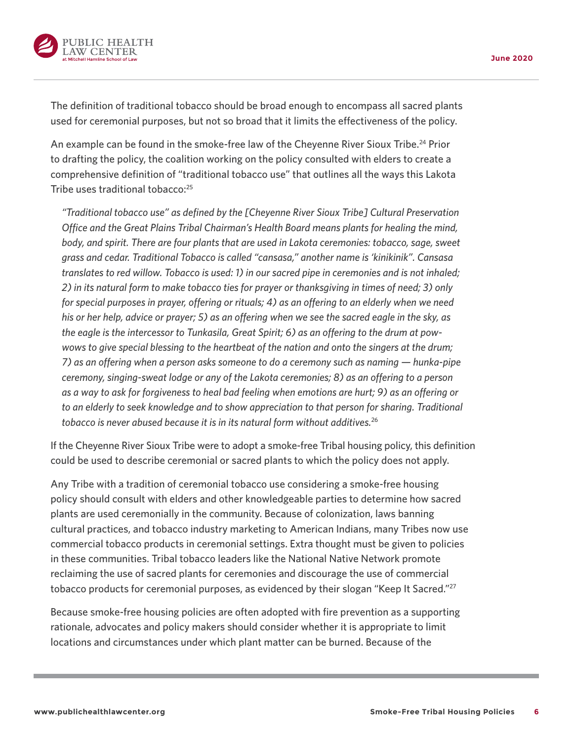

The definition of traditional tobacco should be broad enough to encompass all sacred plants used for ceremonial purposes, but not so broad that it limits the effectiveness of the policy.

An example can be found in the smoke-free law of the Cheyenne River Sioux Tribe.<sup>24</sup> Prior to drafting the policy, the coalition working on the policy consulted with elders to create a comprehensive definition of "traditional tobacco use" that outlines all the ways this Lakota Tribe uses traditional tobacco:<sup>25</sup>

*"Traditional tobacco use" as defined by the [Cheyenne River Sioux Tribe] Cultural Preservation Office and the Great Plains Tribal Chairman's Health Board means plants for healing the mind, body, and spirit. There are four plants that are used in Lakota ceremonies: tobacco, sage, sweet grass and cedar. Traditional Tobacco is called "cansasa," another name is 'kinikinik". Cansasa translates to red willow. Tobacco is used: 1) in our sacred pipe in ceremonies and is not inhaled; 2) in its natural form to make tobacco ties for prayer or thanksgiving in times of need; 3) only for special purposes in prayer, offering or rituals; 4) as an offering to an elderly when we need his or her help, advice or prayer; 5) as an offering when we see the sacred eagle in the sky, as the eagle is the intercessor to Tunkasila, Great Spirit; 6) as an offering to the drum at powwows to give special blessing to the heartbeat of the nation and onto the singers at the drum; 7) as an offering when a person asks someone to do a ceremony such as naming — hunka-pipe ceremony, singing-sweat lodge or any of the Lakota ceremonies; 8) as an offering to a person as a way to ask for forgiveness to heal bad feeling when emotions are hurt; 9) as an offering or*  to an elderly to seek knowledge and to show appreciation to that person for sharing. Traditional *tobacco is never abused because it is in its natural form without additives.*<sup>26</sup>

If the Cheyenne River Sioux Tribe were to adopt a smoke-free Tribal housing policy, this definition could be used to describe ceremonial or sacred plants to which the policy does not apply.

Any Tribe with a tradition of ceremonial tobacco use considering a smoke-free housing policy should consult with elders and other knowledgeable parties to determine how sacred plants are used ceremonially in the community. Because of colonization, laws banning cultural practices, and tobacco industry marketing to American Indians, many Tribes now use commercial tobacco products in ceremonial settings. Extra thought must be given to policies in these communities. Tribal tobacco leaders like the National Native Network promote reclaiming the use of sacred plants for ceremonies and discourage the use of commercial tobacco products for ceremonial purposes, as evidenced by their slogan "Keep It Sacred."<sup>27</sup>

Because smoke-free housing policies are often adopted with fire prevention as a supporting rationale, advocates and policy makers should consider whether it is appropriate to limit locations and circumstances under which plant matter can be burned. Because of the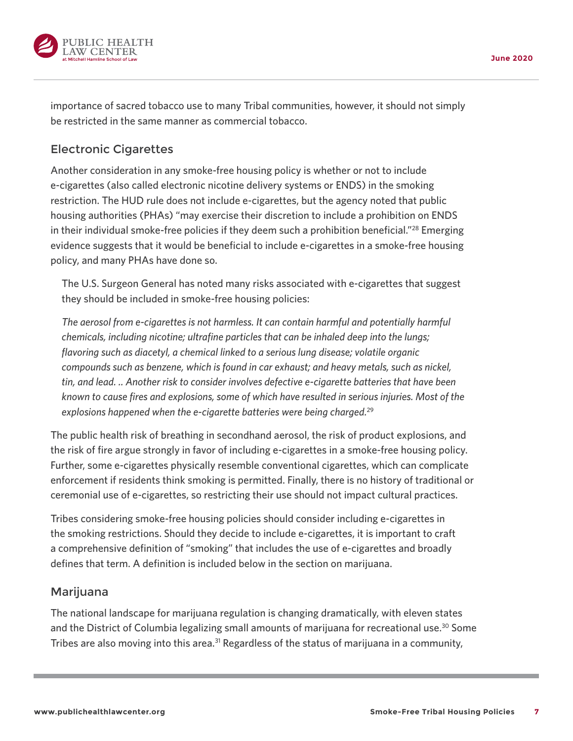

importance of sacred tobacco use to many Tribal communities, however, it should not simply be restricted in the same manner as commercial tobacco.

## Electronic Cigarettes

Another consideration in any smoke-free housing policy is whether or not to include e-cigarettes (also called electronic nicotine delivery systems or ENDS) in the smoking restriction. The HUD rule does not include e-cigarettes, but the agency noted that public housing authorities (PHAs) "may exercise their discretion to include a prohibition on ENDS in their individual smoke-free policies if they deem such a prohibition beneficial."<sup>28</sup> Emerging evidence suggests that it would be beneficial to include e-cigarettes in a smoke-free housing policy, and many PHAs have done so.

The U.S. Surgeon General has noted many risks associated with e-cigarettes that suggest they should be included in smoke-free housing policies:

*The aerosol from e-cigarettes is not harmless. It can contain harmful and potentially harmful chemicals, including nicotine; ultrafine particles that can be inhaled deep into the lungs; flavoring such as diacetyl, a chemical linked to a serious lung disease; volatile organic compounds such as benzene, which is found in car exhaust; and heavy metals, such as nickel, tin, and lead. .. Another risk to consider involves defective e-cigarette batteries that have been known to cause fires and explosions, some of which have resulted in serious injuries. Most of the explosions happened when the e-cigarette batteries were being charged.*<sup>29</sup>

The public health risk of breathing in secondhand aerosol, the risk of product explosions, and the risk of fire argue strongly in favor of including e-cigarettes in a smoke-free housing policy. Further, some e-cigarettes physically resemble conventional cigarettes, which can complicate enforcement if residents think smoking is permitted. Finally, there is no history of traditional or ceremonial use of e-cigarettes, so restricting their use should not impact cultural practices.

Tribes considering smoke-free housing policies should consider including e-cigarettes in the smoking restrictions. Should they decide to include e-cigarettes, it is important to craft a comprehensive definition of "smoking" that includes the use of e-cigarettes and broadly defines that term. A definition is included below in the section on marijuana.

## Marijuana

The national landscape for marijuana regulation is changing dramatically, with eleven states and the District of Columbia legalizing small amounts of marijuana for recreational use.<sup>30</sup> Some Tribes are also moving into this area.<sup>31</sup> Regardless of the status of marijuana in a community,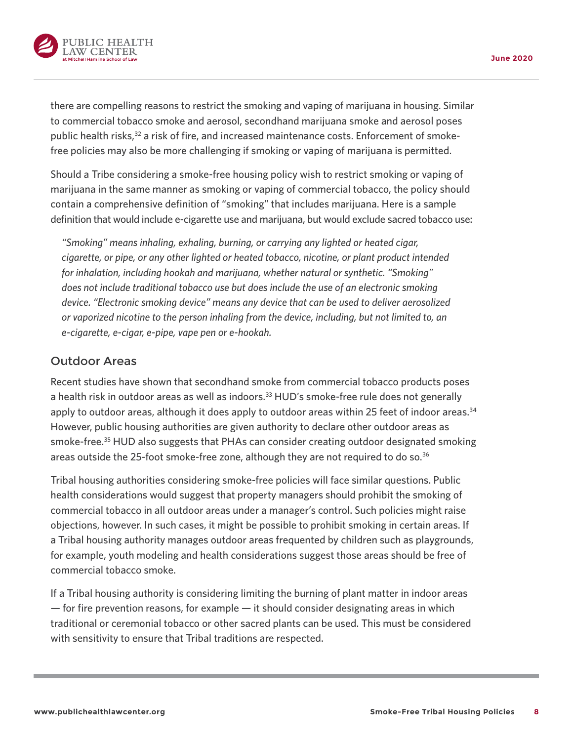

there are compelling reasons to restrict the smoking and vaping of marijuana in housing. Similar to commercial tobacco smoke and aerosol, secondhand marijuana smoke and aerosol poses public health risks, $32$  a risk of fire, and increased maintenance costs. Enforcement of smokefree policies may also be more challenging if smoking or vaping of marijuana is permitted.

Should a Tribe considering a smoke-free housing policy wish to restrict smoking or vaping of marijuana in the same manner as smoking or vaping of commercial tobacco, the policy should contain a comprehensive definition of "smoking" that includes marijuana. Here is a sample definition that would include e-cigarette use and marijuana, but would exclude sacred tobacco use:

*"Smoking" means inhaling, exhaling, burning, or carrying any lighted or heated cigar, cigarette, or pipe, or any other lighted or heated tobacco, nicotine, or plant product intended for inhalation, including hookah and marijuana, whether natural or synthetic. "Smoking" does not include traditional tobacco use but does include the use of an electronic smoking device. "Electronic smoking device" means any device that can be used to deliver aerosolized or vaporized nicotine to the person inhaling from the device, including, but not limited to, an e-cigarette, e-cigar, e-pipe, vape pen or e-hookah.*

## Outdoor Areas

Recent studies have shown that secondhand smoke from commercial tobacco products poses a health risk in outdoor areas as well as indoors.<sup>33</sup> HUD's smoke-free rule does not generally apply to outdoor areas, although it does apply to outdoor areas within 25 feet of indoor areas.<sup>34</sup> However, public housing authorities are given authority to declare other outdoor areas as smoke-free.<sup>35</sup> HUD also suggests that PHAs can consider creating outdoor designated smoking areas outside the 25-foot smoke-free zone, although they are not required to do so.<sup>36</sup>

Tribal housing authorities considering smoke-free policies will face similar questions. Public health considerations would suggest that property managers should prohibit the smoking of commercial tobacco in all outdoor areas under a manager's control. Such policies might raise objections, however. In such cases, it might be possible to prohibit smoking in certain areas. If a Tribal housing authority manages outdoor areas frequented by children such as playgrounds, for example, youth modeling and health considerations suggest those areas should be free of commercial tobacco smoke.

If a Tribal housing authority is considering limiting the burning of plant matter in indoor areas — for fire prevention reasons, for example — it should consider designating areas in which traditional or ceremonial tobacco or other sacred plants can be used. This must be considered with sensitivity to ensure that Tribal traditions are respected.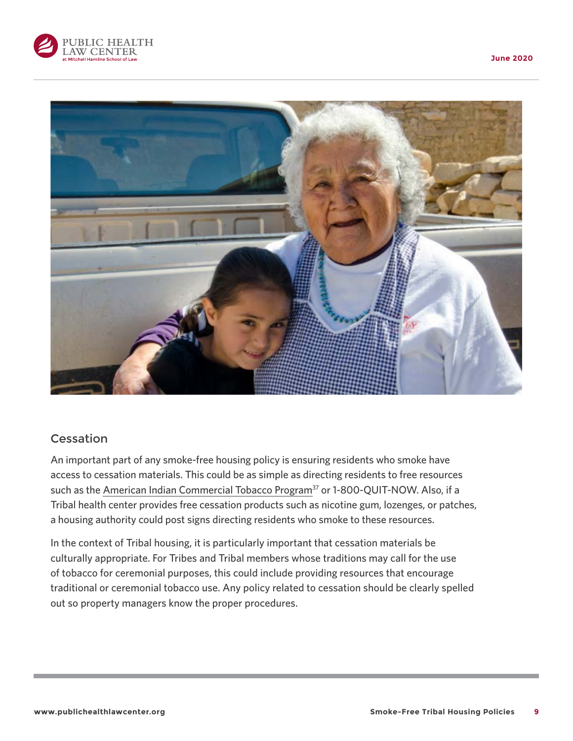





## Cessation

An important part of any smoke-free housing policy is ensuring residents who smoke have access to cessation materials. This could be as simple as directing residents to free resources such as the [American Indian Commercial Tobacco Program](https://americanindian.quitlogix.org/)<sup>37</sup> or 1-800-QUIT-NOW. Also, if a Tribal health center provides free cessation products such as nicotine gum, lozenges, or patches, a housing authority could post signs directing residents who smoke to these resources.

In the context of Tribal housing, it is particularly important that cessation materials be culturally appropriate. For Tribes and Tribal members whose traditions may call for the use of tobacco for ceremonial purposes, this could include providing resources that encourage traditional or ceremonial tobacco use. Any policy related to cessation should be clearly spelled out so property managers know the proper procedures.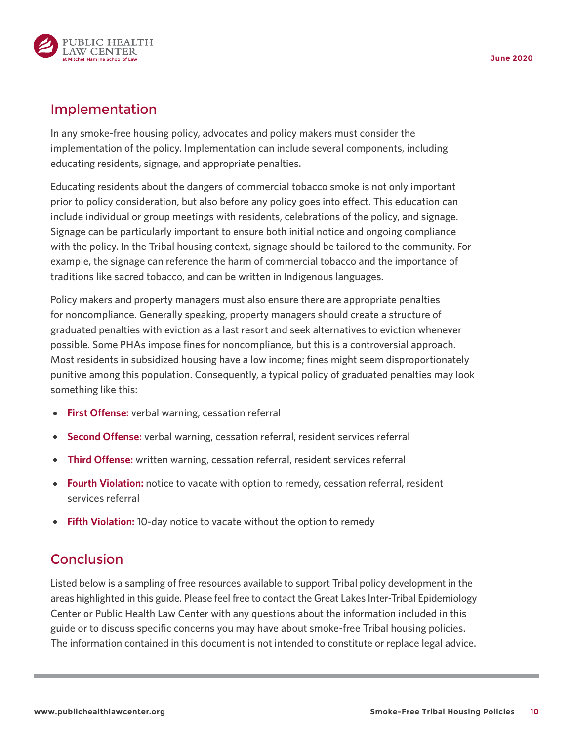

## Implementation

In any smoke-free housing policy, advocates and policy makers must consider the implementation of the policy. Implementation can include several components, including educating residents, signage, and appropriate penalties.

Educating residents about the dangers of commercial tobacco smoke is not only important prior to policy consideration, but also before any policy goes into effect. This education can include individual or group meetings with residents, celebrations of the policy, and signage. Signage can be particularly important to ensure both initial notice and ongoing compliance with the policy. In the Tribal housing context, signage should be tailored to the community. For example, the signage can reference the harm of commercial tobacco and the importance of traditions like sacred tobacco, and can be written in Indigenous languages.

Policy makers and property managers must also ensure there are appropriate penalties for noncompliance. Generally speaking, property managers should create a structure of graduated penalties with eviction as a last resort and seek alternatives to eviction whenever possible. Some PHAs impose fines for noncompliance, but this is a controversial approach. Most residents in subsidized housing have a low income; fines might seem disproportionately punitive among this population. Consequently, a typical policy of graduated penalties may look something like this:

- **First Offense:** verbal warning, cessation referral
- { **Second Offense:** verbal warning, cessation referral, resident services referral
- { **Third Offense:** written warning, cessation referral, resident services referral
- **Fourth Violation:** notice to vacate with option to remedy, cessation referral, resident services referral
- **Fifth Violation:** 10-day notice to vacate without the option to remedy

## **Conclusion**

Listed below is a sampling of free resources available to support Tribal policy development in the areas highlighted in this guide. Please feel free to contact the Great Lakes Inter-Tribal Epidemiology Center or Public Health Law Center with any questions about the information included in this guide or to discuss specific concerns you may have about smoke-free Tribal housing policies. The information contained in this document is not intended to constitute or replace legal advice.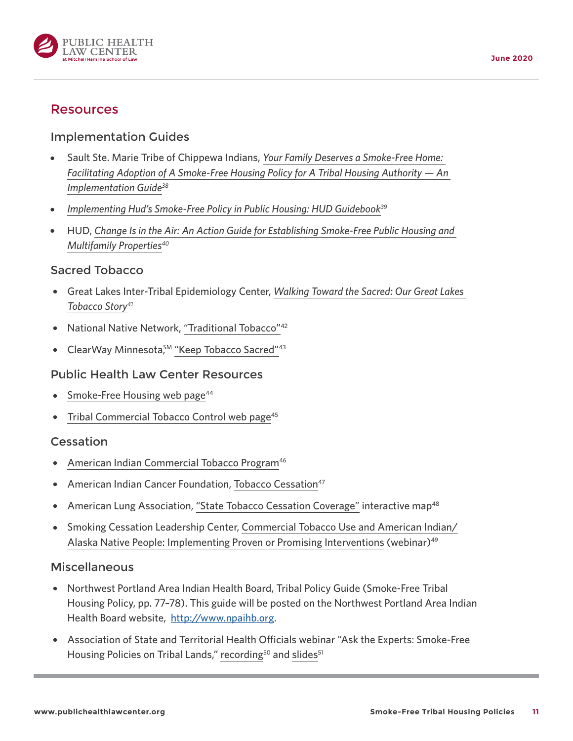

## Resources

## Implementation Guides

- { Sault Ste. Marie Tribe of Chippewa Indians, *[Your Family Deserves a Smoke-Free Home:](https://www.networksnorthwest.org/userfiles/filemanager/3131/)  [Facilitating Adoption of A Smoke-Free Housing Policy for A Tribal Housing Authority — An](https://www.networksnorthwest.org/userfiles/filemanager/3131/)  [Implementation Guide](https://www.networksnorthwest.org/userfiles/filemanager/3131/)38*
- Implementing Hud's Smoke-Free Policy in Public Housing: HUD Guidebook<sup>39</sup>
- { HUD, *[Change Is in the Air: An Action Guide for Establishing Smoke-Free Public Housing and](https://www.hud.gov/sites/documents/SFGUIDANCEMANUAL.PDF)  [Multifamily Properties4](https://www.hud.gov/sites/documents/SFGUIDANCEMANUAL.PDF)0*

#### Sacred Tobacco

- { Great Lakes Inter-Tribal Epidemiology Center, *[Walking Toward the Sacred: Our Great Lakes](http://www.glitc.org/forms/Tabacco/tabacco-booklet-web-.pdf)  [Tobacco Story](http://www.glitc.org/forms/Tabacco/tabacco-booklet-web-.pdf)41*
- National Native Network, ["Traditional Tobacco"](http://keepitsacred.itcmi.org/tobacco-and-tradition/traditional-tobacco-use/)<sup>42</sup>
- ClearWay Minnesota<sup>SM</sup> ["Keep Tobacco Sacred"](http://clearwaymn.org/KeepTobaccoSacred/)<sup>43</sup>

#### Public Health Law Center Resources

- Smoke-Free Housing web page<sup>44</sup>
- Tribal Commercial Tobacco Control web page<sup>45</sup>

#### Cessation

- [American Indian Commercial Tobacco Program](https://americanindian.quitlogix.org/)<sup>46</sup>
- American Indian Cancer Foundation, [Tobacco Cessation](https://www.americanindiancancer.org/tobacco-cessation)<sup>47</sup>
- American Lung Association, ["State Tobacco Cessation Coverage"](http://www.lungusa2.org/cessation2/) interactive map<sup>48</sup>
- { Smoking Cessation Leadership Center, [Commercial Tobacco Use and American Indian/](https://smokingcessationleadership.ucsf.edu/webinar/commercial-tobacco-use-and-american-indianalaska-native-people-implementing-proven-or) [Alaska Native People: Implementing Proven or Promising Interventions](https://smokingcessationleadership.ucsf.edu/webinar/commercial-tobacco-use-and-american-indianalaska-native-people-implementing-proven-or) (webinar)<sup>49</sup>

#### **Miscellaneous**

- { Northwest Portland Area Indian Health Board, Tribal Policy Guide (Smoke-Free Tribal Housing Policy, pp. 77–78). This guide will be posted on the Northwest Portland Area Indian Health Board website, [http://www.npaihb.org.](http://www.npaihb.org)
- { Association of State and Territorial Health Officials webinar "Ask the Experts: Smoke-Free Housing Policies on Tribal Lands," [recording](http://astho.adobeconnect.com/ptyxar23uzuk/)<sup>50</sup> and slides<sup>51</sup>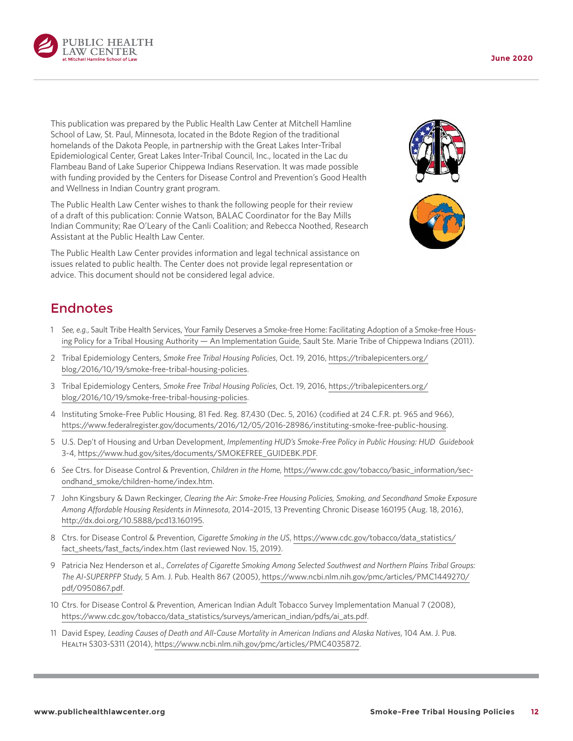

This publication was prepared by the Public Health Law Center at Mitchell Hamline School of Law, St. Paul, Minnesota, located in the Bdote Region of the traditional homelands of the Dakota People, in partnership with the Great Lakes Inter-Tribal Epidemiological Center, Great Lakes Inter-Tribal Council, Inc., located in the Lac du Flambeau Band of Lake Superior Chippewa Indians Reservation. It was made possible with funding provided by the Centers for Disease Control and Prevention's Good Health and Wellness in Indian Country grant program.

The Public Health Law Center wishes to thank the following people for their review of a draft of this publication: Connie Watson, BALAC Coordinator for the Bay Mills Indian Community; Rae O'Leary of the Canli Coalition; and Rebecca Noothed, Research Assistant at the Public Health Law Center.

The Public Health Law Center provides information and legal technical assistance on issues related to public health. The Center does not provide legal representation or advice. This document should not be considered legal advice.





# Endnotes

- 1 *See, e.g.*, Sault Tribe Health Services, [Your Family Deserves a Smoke-free Home: Facilitating Adoption of a Smoke-free Hous](https://www.networksnorthwest.org/userfiles/filemanager/3131/)[ing Policy for a Tribal Housing Authority — An Implementation Guide,](https://www.networksnorthwest.org/userfiles/filemanager/3131/) Sault Ste. Marie Tribe of Chippewa Indians (2011).
- 2 Tribal Epidemiology Centers, *Smoke Free Tribal Housing Policies*, Oct. 19, 2016, [https://tribalepicenters.org/](https://tribalepicenters.org/blog/2016/10/19/smoke-free-tribal-housing-policies) [blog/2016/10/19/smoke-free-tribal-housing-policies](https://tribalepicenters.org/blog/2016/10/19/smoke-free-tribal-housing-policies).
- 3 Tribal Epidemiology Centers, *Smoke Free Tribal Housing Policies*, Oct. 19, 2016, [https://tribalepicenters.org/](https://tribalepicenters.org/blog/2016/10/19/smoke-free-tribal-housing-policies) [blog/2016/10/19/smoke-free-tribal-housing-policies](https://tribalepicenters.org/blog/2016/10/19/smoke-free-tribal-housing-policies).
- 4 Instituting Smoke-Free Public Housing, 81 Fed. Reg. 87,430 (Dec. 5, 2016) (codified at 24 C.F.R. pt. 965 and 966), <https://www.federalregister.gov/documents/2016/12/05/2016-28986/instituting-smoke-free-public-housing>.
- 5 U.S. Dep't of Housing and Urban Development, *Implementing HUD's Smoke-Free Policy in Public Housing: HUD Guidebook* 3-4, [https://www.hud.gov/sites/documents/SMOKEFREE\\_GUIDEBK.PDF.](https://www.hud.gov/sites/documents/SMOKEFREE_GUIDEBK.PDF)
- 6 *See* Ctrs. for Disease Control & Prevention, *Children in the Home,* [https://www.cdc.gov/tobacco/basic\\_information/sec](https://www.cdc.gov/tobacco/basic_information/secondhand_smoke/children-home/index.htm)[ondhand\\_smoke/children-home/index.htm](https://www.cdc.gov/tobacco/basic_information/secondhand_smoke/children-home/index.htm).
- 7 John Kingsbury & Dawn Reckinger, *Clearing the Air: Smoke-Free Housing Policies, Smoking, and Secondhand Smoke Exposure Among Affordable Housing Residents in Minnesota*, 2014–2015, 13 Preventing Chronic Disease 160195 (Aug. 18, 2016), <http://dx.doi.org/10.5888/pcd13.160195>.
- 8 Ctrs. for Disease Control & Prevention, *Cigarette Smoking in the US*, [https://www.cdc.gov/tobacco/data\\_statistics/](https://www.cdc.gov/tobacco/data_statistics/fact_sheets/fast_facts/index.htm) [fact\\_sheets/fast\\_facts/index.htm](https://www.cdc.gov/tobacco/data_statistics/fact_sheets/fast_facts/index.htm) (last reviewed Nov. 15, 2019).
- 9 Patricia Nez Henderson et al., *Correlates of Cigarette Smoking Among Selected Southwest and Northern Plains Tribal Groups: The AI-SUPERPFP Study,* 5 Am. J. Pub. Health 867 (2005), [https://www.ncbi.nlm.nih.gov/pmc/articles/PMC1449270/](https://www.ncbi.nlm.nih.gov/pmc/articles/PMC1449270/pdf/0950867.pdf) [pdf/0950867.pdf](https://www.ncbi.nlm.nih.gov/pmc/articles/PMC1449270/pdf/0950867.pdf).
- 10 Ctrs. for Disease Control & Prevention, American Indian Adult Tobacco Survey Implementation Manual 7 (2008), [https://www.cdc.gov/tobacco/data\\_statistics/surveys/american\\_indian/pdfs/ai\\_ats.pdf](https://www.cdc.gov/tobacco/data_statistics/surveys/american_indian/pdfs/ai_ats.pdf).
- 11 David Espey, *Leading Causes of Death and All-Cause Mortality in American Indians and Alaska Natives*, 104 Am. J. Pub. Health S303-S311 (2014),<https://www.ncbi.nlm.nih.gov/pmc/articles/PMC4035872>.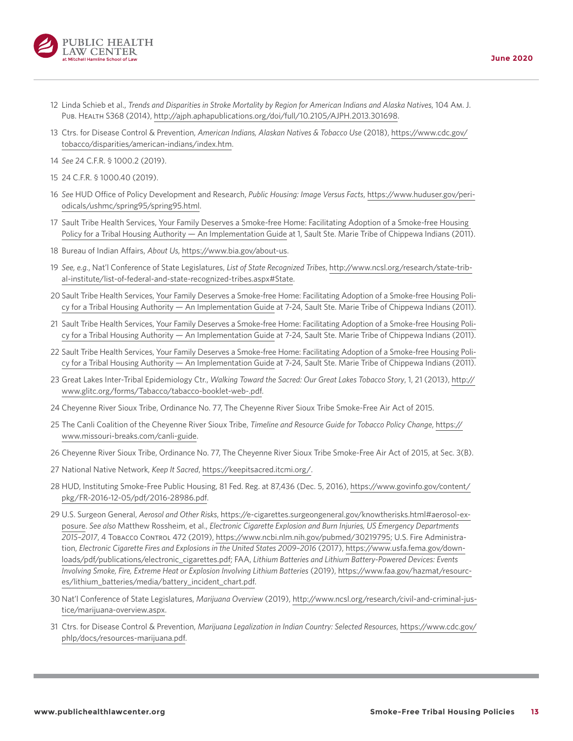

- 12 Linda Schieb et al., *Trends and Disparities in Stroke Mortality by Region for American Indians and Alaska Natives*, 104 Am. J. Pub. Health S368 (2014), [http://ajph.aphapublications.org/doi/full/10.2105/AJPH.2013.301698.](http://ajph.aphapublications.org/doi/full/10.2105/AJPH.2013.301698)
- 13 Ctrs. for Disease Control & Prevention, *American Indians, Alaskan Natives & Tobacco Use* (2018), [https://www.cdc.gov/](https://www.cdc.gov/tobacco/disparities/american-indians/index.htm) [tobacco/disparities/american-indians/index.htm.](https://www.cdc.gov/tobacco/disparities/american-indians/index.htm)
- 14 *See* 24 C.F.R. § 1000.2 (2019).
- 15 24 C.F.R. § 1000.40 (2019).
- 16 *See* HUD Office of Policy Development and Research, *Public Housing: Image Versus Facts*, [https://www.huduser.gov/peri](https://www.huduser.gov/periodicals/ushmc/spring95/spring95.html)[odicals/ushmc/spring95/spring95.html](https://www.huduser.gov/periodicals/ushmc/spring95/spring95.html).
- 17 Sault Tribe Health Services, [Your Family Deserves a Smoke-free Home: Facilitating Adoption of a Smoke-free Housing](https://www.networksnorthwest.org/userfiles/filemanager/3131/)  [Policy for a Tribal Housing Authority — An Implementation Guide](https://www.networksnorthwest.org/userfiles/filemanager/3131/) at 1, Sault Ste. Marie Tribe of Chippewa Indians (2011).
- 18 Bureau of Indian Affairs, *About Us*, [https://www.bia.gov/a](https://www.bia.gov/about-us)bout-us.
- 19 *See, e.g.*, Nat'l Conference of State Legislatures, *List of State Recognized Tribes*, [http://www.ncsl.org/research/state-trib](http://www.ncsl.org/research/state-tribal-institute/list-of-federal-and-state-recognized-tribes.aspx#State)[al-institute/list-of-federal-and-state-recognized-tribes.aspx#State](http://www.ncsl.org/research/state-tribal-institute/list-of-federal-and-state-recognized-tribes.aspx#State).
- 20 Sault Tribe Health Services, [Your Family Deserves a Smoke-free Home: Facilitating Adoption of a Smoke-free Housing Poli](https://www.networksnorthwest.org/userfiles/filemanager/3131/)[cy for a Tribal Housing Authority — An Implementation Guide](https://www.networksnorthwest.org/userfiles/filemanager/3131/) at 7-24, Sault Ste. Marie Tribe of Chippewa Indians (2011).
- 21 Sault Tribe Health Services, [Your Family Deserves a Smoke-free Home: Facilitating Adoption of a Smoke-free Housing Poli](https://www.networksnorthwest.org/userfiles/filemanager/3131/)[cy for a Tribal Housing Authority — An Implementation Guide](https://www.networksnorthwest.org/userfiles/filemanager/3131/) at 7-24, Sault Ste. Marie Tribe of Chippewa Indians (2011).
- 22 Sault Tribe Health Services, [Your Family Deserves a Smoke-free Home: Facilitating Adoption of a Smoke-free Housing Poli](https://www.networksnorthwest.org/userfiles/filemanager/3131/)[cy for a Tribal Housing Authority — An Implementation Guide](https://www.networksnorthwest.org/userfiles/filemanager/3131/) at 7-24, Sault Ste. Marie Tribe of Chippewa Indians (2011).
- 23 Great Lakes Inter-Tribal Epidemiology Ctr., *Walking Toward the Sacred: Our Great Lakes Tobacco Story*, 1, 21 (2013), [http://](http://www.glitc.org/forms/Tabacco/tabacco-booklet-web-.pdf) [www.glitc.org/forms/Tabacco/tabacco-booklet-web-.pdf.](http://www.glitc.org/forms/Tabacco/tabacco-booklet-web-.pdf)
- 24 Cheyenne River Sioux Tribe, Ordinance No. 77, The Cheyenne River Sioux Tribe Smoke-Free Air Act of 2015.
- 25 The Canli Coalition of the Cheyenne River Sioux Tribe, *Timeline and Resource Guide for Tobacco Policy Change*, [https://](https://www.missouri-breaks.com/canli-guide) [www.missouri-breaks.com/canli-guide](https://www.missouri-breaks.com/canli-guide).
- 26 Cheyenne River Sioux Tribe, Ordinance No. 77, The Cheyenne River Sioux Tribe Smoke-Free Air Act of 2015, at Sec. 3(B).
- 27 National Native Network, *Keep It Sacred*,<https://keepitsacred.itcmi.org/>.
- 28 HUD, Instituting Smoke-Free Public Housing, 81 Fed. Reg. at 87,436 (Dec. 5, 2016), [https://www.govinfo.gov/content/](https://www.govinfo.gov/content/pkg/FR-2016-12-05/pdf/2016-28986.pdf) [pkg/FR-2016-12-05/pdf/2016-28986.pdf](https://www.govinfo.gov/content/pkg/FR-2016-12-05/pdf/2016-28986.pdf).
- 29 U.S. Surgeon General, *Aerosol and Other Risks*, [https://e-cigarettes.surgeongeneral.gov/knowtherisks.html#aerosol-ex](https://e-cigarettes.surgeongeneral.gov/knowtherisks.html#aerosol-exposure)[posure](https://e-cigarettes.surgeongeneral.gov/knowtherisks.html#aerosol-exposure). *See also* Matthew Rossheim, et al., *Electronic Cigarette Explosion and Burn Injuries, US Emergency Departments 2015–2017*, 4 Tobacco Control 472 (2019), <https://www.ncbi.nlm.nih.gov/pubmed/30219795>; U.S. Fire Administration, *Electronic Cigarette Fires and Explosions in the United States 2009–2016* (2017), [https://www.usfa.fema.gov/down](https://www.usfa.fema.gov/downloads/pdf/publications/electronic_cigarettes.pdf)[loads/pdf/publications/electronic\\_cigarettes.pdf;](https://www.usfa.fema.gov/downloads/pdf/publications/electronic_cigarettes.pdf) FAA, *Lithium Batteries and Lithium Battery-Powered Devices: Events Involving Smoke, Fire, Extreme Heat or Explosion Involving Lithium Batteries* (2019), [https://www.faa.gov/hazmat/resourc](https://www.faa.gov/hazmat/resources/lithium_batteries/media/battery_incident_chart.pdf)[es/lithium\\_batteries/media/battery\\_incident\\_chart.pdf](https://www.faa.gov/hazmat/resources/lithium_batteries/media/battery_incident_chart.pdf).
- 30 Nat'l Conference of State Legislatures, *Marijuana Overview* (2019), [http://www.ncsl.org/research/civil-and-criminal-jus](http://www.ncsl.org/research/civil-and-criminal-justice/marijuana-overview.aspx)[tice/marijuana-overview.aspx](http://www.ncsl.org/research/civil-and-criminal-justice/marijuana-overview.aspx).
- 31 Ctrs. for Disease Control & Prevention, *Marijuana Legalization in Indian Country: Selected Resources*, [https://www.cdc.gov/](https://www.cdc.gov/phlp/docs/resources-marijuana.pdf) [phlp/docs/resources-marijuana.pdf.](https://www.cdc.gov/phlp/docs/resources-marijuana.pdf)